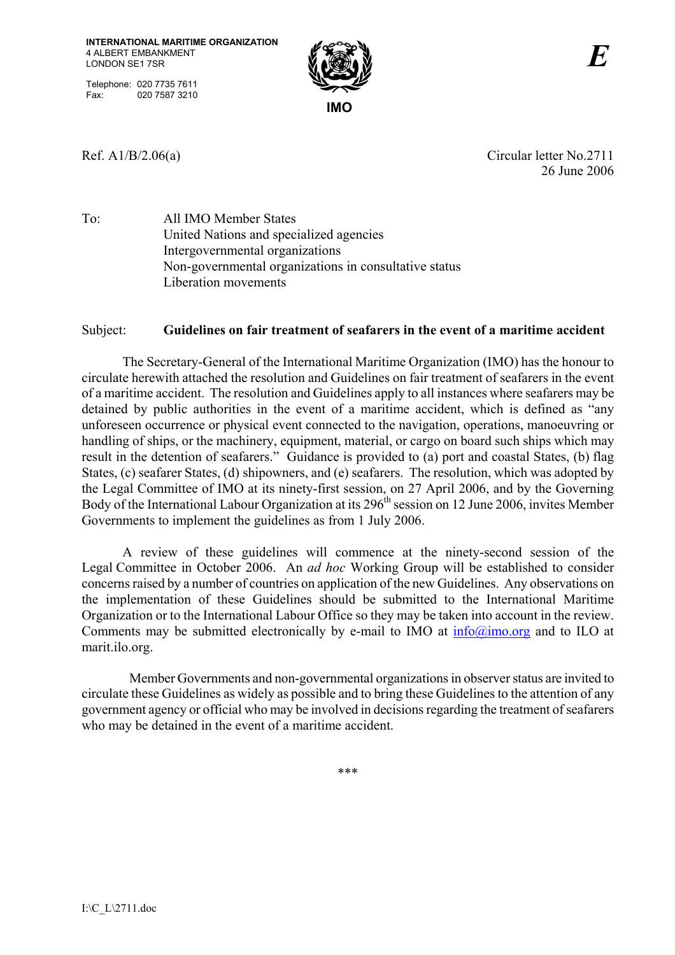Telephone: 020 7735 7611 Fax: 020 7587 3210



Ref. A1/B/2.06(a) Circular letter No.2711 26 June 2006

To: All IMO Member States United Nations and specialized agencies Intergovernmental organizations Non-governmental organizations in consultative status Liberation movements

### Subject: **Guidelines on fair treatment of seafarers in the event of a maritime accident**

The Secretary-General of the International Maritime Organization (IMO) has the honour to circulate herewith attached the resolution and Guidelines on fair treatment of seafarers in the event of a maritime accident. The resolution and Guidelines apply to all instances where seafarers may be detained by public authorities in the event of a maritime accident, which is defined as "any unforeseen occurrence or physical event connected to the navigation, operations, manoeuvring or handling of ships, or the machinery, equipment, material, or cargo on board such ships which may result in the detention of seafarers." Guidance is provided to (a) port and coastal States, (b) flag States, (c) seafarer States, (d) shipowners, and (e) seafarers. The resolution, which was adopted by the Legal Committee of IMO at its ninety-first session, on 27 April 2006, and by the Governing Body of the International Labour Organization at its  $296<sup>th</sup>$  session on 12 June 2006, invites Member Governments to implement the guidelines as from 1 July 2006.

A review of these guidelines will commence at the ninety-second session of the Legal Committee in October 2006. An *ad hoc* Working Group will be established to consider concerns raised by a number of countries on application of the new Guidelines. Any observations on the implementation of these Guidelines should be submitted to the International Maritime Organization or to the International Labour Office so they may be taken into account in the review. Comments may be submitted electronically by e-mail to IMO at  $\frac{info(\alpha) \text{imo.org}}{info(\alpha) \text{imo.org}}$  and to ILO at marit.ilo.org.

 Member Governments and non-governmental organizations in observer status are invited to circulate these Guidelines as widely as possible and to bring these Guidelines to the attention of any government agency or official who may be involved in decisions regarding the treatment of seafarers who may be detained in the event of a maritime accident.

\*\*\*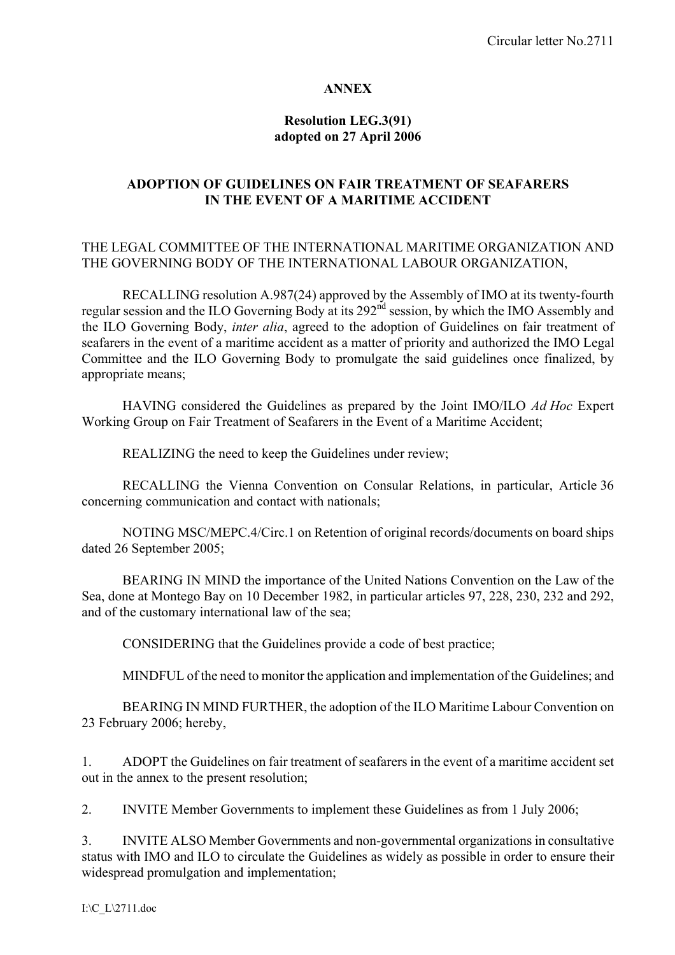#### **ANNEX**

### **Resolution LEG.3(91) adopted on 27 April 2006**

### **ADOPTION OF GUIDELINES ON FAIR TREATMENT OF SEAFARERS IN THE EVENT OF A MARITIME ACCIDENT**

### THE LEGAL COMMITTEE OF THE INTERNATIONAL MARITIME ORGANIZATION AND THE GOVERNING BODY OF THE INTERNATIONAL LABOUR ORGANIZATION,

 RECALLING resolution A.987(24) approved by the Assembly of IMO at its twenty-fourth regular session and the ILO Governing Body at its 292<sup>nd</sup> session, by which the IMO Assembly and the ILO Governing Body, *inter alia*, agreed to the adoption of Guidelines on fair treatment of seafarers in the event of a maritime accident as a matter of priority and authorized the IMO Legal Committee and the ILO Governing Body to promulgate the said guidelines once finalized, by appropriate means;

 HAVING considered the Guidelines as prepared by the Joint IMO/ILO *Ad Hoc* Expert Working Group on Fair Treatment of Seafarers in the Event of a Maritime Accident;

REALIZING the need to keep the Guidelines under review;

 RECALLING the Vienna Convention on Consular Relations, in particular, Article 36 concerning communication and contact with nationals;

 NOTING MSC/MEPC.4/Circ.1 on Retention of original records/documents on board ships dated 26 September 2005;

 BEARING IN MIND the importance of the United Nations Convention on the Law of the Sea, done at Montego Bay on 10 December 1982, in particular articles 97, 228, 230, 232 and 292, and of the customary international law of the sea;

CONSIDERING that the Guidelines provide a code of best practice;

MINDFUL of the need to monitor the application and implementation of the Guidelines; and

 BEARING IN MIND FURTHER, the adoption of the ILO Maritime Labour Convention on 23 February 2006; hereby,

1. ADOPT the Guidelines on fair treatment of seafarers in the event of a maritime accident set out in the annex to the present resolution;

2. INVITE Member Governments to implement these Guidelines as from 1 July 2006;

3. INVITE ALSO Member Governments and non-governmental organizations in consultative status with IMO and ILO to circulate the Guidelines as widely as possible in order to ensure their widespread promulgation and implementation;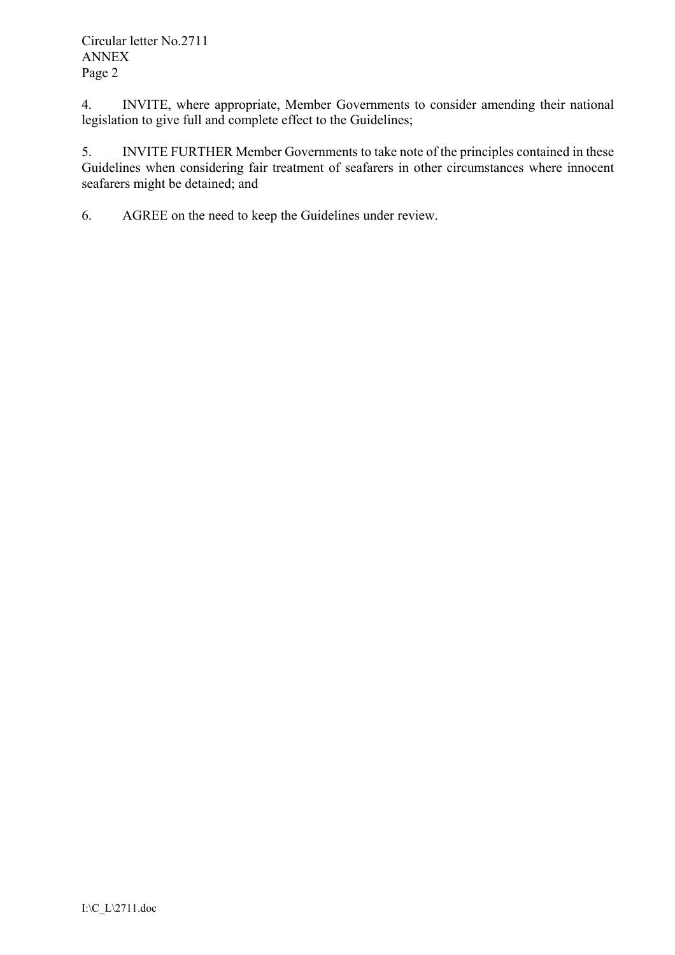4. INVITE, where appropriate, Member Governments to consider amending their national legislation to give full and complete effect to the Guidelines;

5. INVITE FURTHER Member Governments to take note of the principles contained in these Guidelines when considering fair treatment of seafarers in other circumstances where innocent seafarers might be detained; and

6. AGREE on the need to keep the Guidelines under review.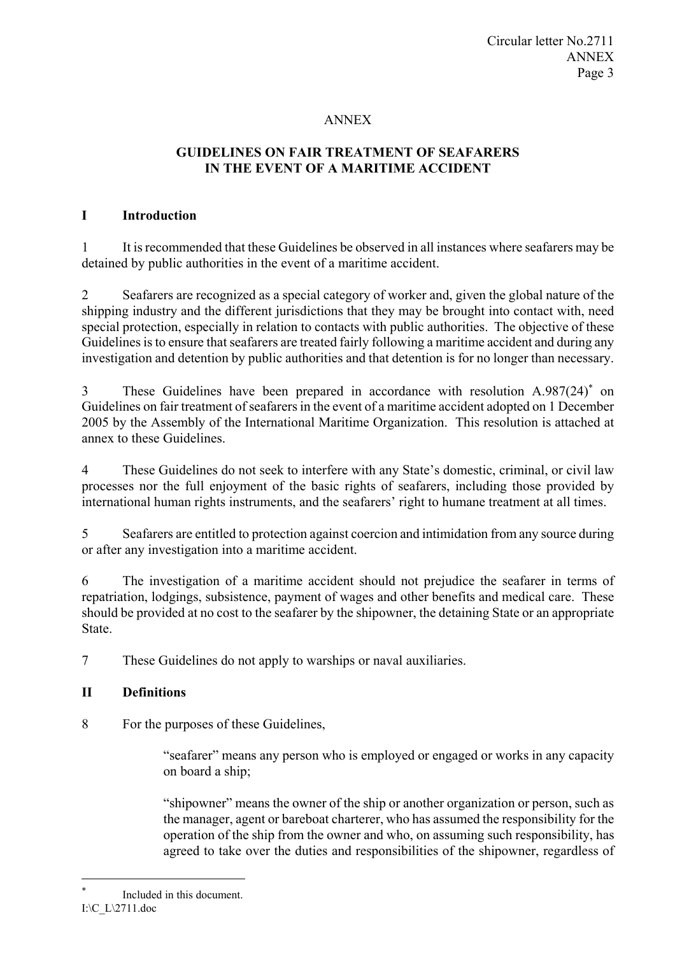# ANNEX

# **GUIDELINES ON FAIR TREATMENT OF SEAFARERS IN THE EVENT OF A MARITIME ACCIDENT**

### **I Introduction**

1 It is recommended that these Guidelines be observed in all instances where seafarers may be detained by public authorities in the event of a maritime accident.

2 Seafarers are recognized as a special category of worker and, given the global nature of the shipping industry and the different jurisdictions that they may be brought into contact with, need special protection, especially in relation to contacts with public authorities. The objective of these Guidelines is to ensure that seafarers are treated fairly following a maritime accident and during any investigation and detention by public authorities and that detention is for no longer than necessary.

3 These Guidelines have been prepared in accordance with resolution A.987(24)<sup>\*</sup> on Guidelines on fair treatment of seafarers in the event of a maritime accident adopted on 1 December 2005 by the Assembly of the International Maritime Organization. This resolution is attached at annex to these Guidelines.

4 These Guidelines do not seek to interfere with any State's domestic, criminal, or civil law processes nor the full enjoyment of the basic rights of seafarers, including those provided by international human rights instruments, and the seafarers' right to humane treatment at all times.

5 Seafarers are entitled to protection against coercion and intimidation from any source during or after any investigation into a maritime accident.

6 The investigation of a maritime accident should not prejudice the seafarer in terms of repatriation, lodgings, subsistence, payment of wages and other benefits and medical care. These should be provided at no cost to the seafarer by the shipowner, the detaining State or an appropriate State.

7 These Guidelines do not apply to warships or naval auxiliaries.

### **II Definitions**

8 For the purposes of these Guidelines,

"seafarer" means any person who is employed or engaged or works in any capacity on board a ship;

"shipowner" means the owner of the ship or another organization or person, such as the manager, agent or bareboat charterer, who has assumed the responsibility for the operation of the ship from the owner and who, on assuming such responsibility, has agreed to take over the duties and responsibilities of the shipowner, regardless of

 $\overline{a}$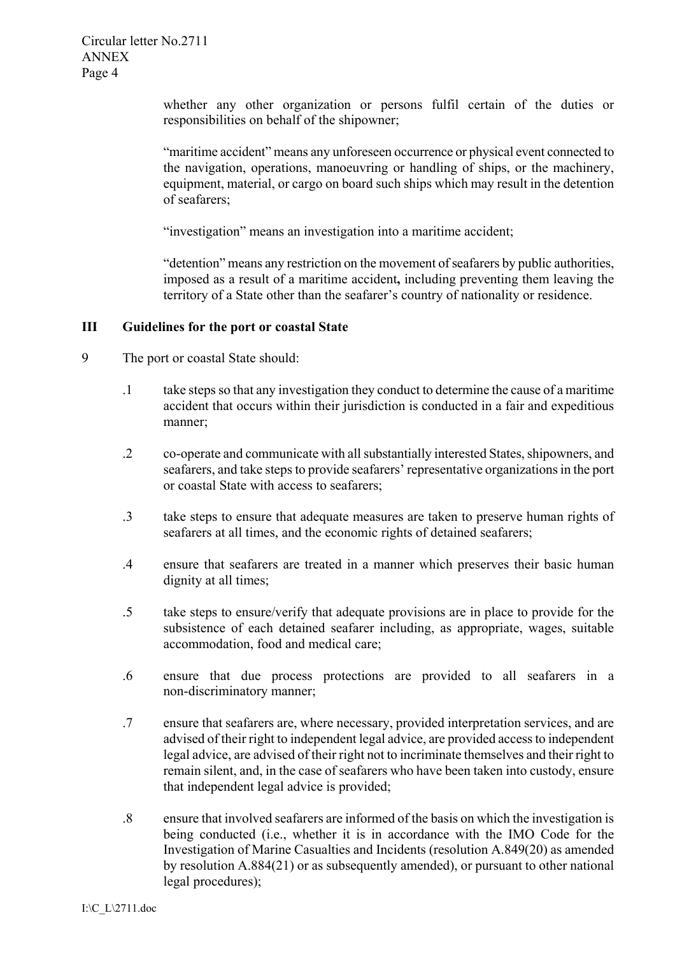whether any other organization or persons fulfil certain of the duties or responsibilities on behalf of the shipowner;

"maritime accident" means any unforeseen occurrence or physical event connected to the navigation, operations, manoeuvring or handling of ships, or the machinery, equipment, material, or cargo on board such ships which may result in the detention of seafarers;

"investigation" means an investigation into a maritime accident;

"detention" means any restriction on the movement of seafarers by public authorities, imposed as a result of a maritime accident**,** including preventing them leaving the territory of a State other than the seafarer's country of nationality or residence.

#### **III Guidelines for the port or coastal State**

- 9 The port or coastal State should:
	- .1 take steps so that any investigation they conduct to determine the cause of a maritime accident that occurs within their jurisdiction is conducted in a fair and expeditious manner;
	- .2 co-operate and communicate with all substantially interested States, shipowners, and seafarers, and take steps to provide seafarers' representative organizations in the port or coastal State with access to seafarers;
	- .3 take steps to ensure that adequate measures are taken to preserve human rights of seafarers at all times, and the economic rights of detained seafarers;
	- .4 ensure that seafarers are treated in a manner which preserves their basic human dignity at all times;
	- .5 take steps to ensure/verify that adequate provisions are in place to provide for the subsistence of each detained seafarer including, as appropriate, wages, suitable accommodation, food and medical care;
	- .6 ensure that due process protections are provided to all seafarers in a non-discriminatory manner;
	- .7 ensure that seafarers are, where necessary, provided interpretation services, and are advised of their right to independent legal advice, are provided access to independent legal advice, are advised of their right not to incriminate themselves and their right to remain silent, and, in the case of seafarers who have been taken into custody, ensure that independent legal advice is provided;
	- .8 ensure that involved seafarers are informed of the basis on which the investigation is being conducted (i.e., whether it is in accordance with the IMO Code for the Investigation of Marine Casualties and Incidents (resolution A.849(20) as amended by resolution A.884(21) or as subsequently amended), or pursuant to other national legal procedures);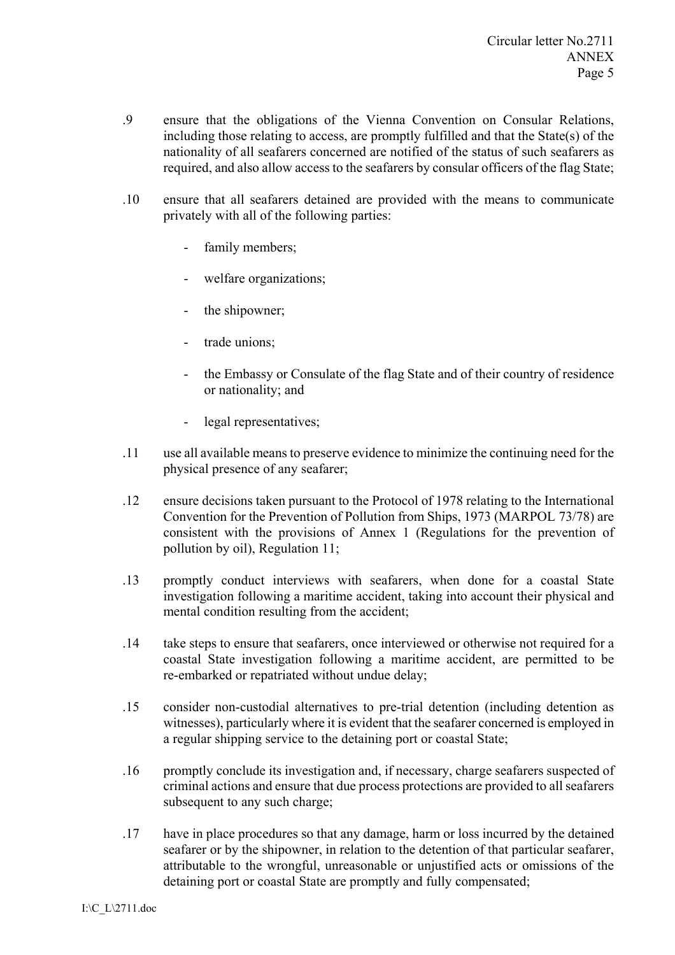- .9 ensure that the obligations of the Vienna Convention on Consular Relations, including those relating to access, are promptly fulfilled and that the State(s) of the nationality of all seafarers concerned are notified of the status of such seafarers as required, and also allow access to the seafarers by consular officers of the flag State;
- .10 ensure that all seafarers detained are provided with the means to communicate privately with all of the following parties:
	- family members;
	- welfare organizations;
	- the shipowner;
	- trade unions;
	- the Embassy or Consulate of the flag State and of their country of residence or nationality; and
	- legal representatives;
- .11 use all available means to preserve evidence to minimize the continuing need for the physical presence of any seafarer;
- .12 ensure decisions taken pursuant to the Protocol of 1978 relating to the International Convention for the Prevention of Pollution from Ships, 1973 (MARPOL 73/78) are consistent with the provisions of Annex 1 (Regulations for the prevention of pollution by oil), Regulation 11;
- .13 promptly conduct interviews with seafarers, when done for a coastal State investigation following a maritime accident, taking into account their physical and mental condition resulting from the accident;
- .14 take steps to ensure that seafarers, once interviewed or otherwise not required for a coastal State investigation following a maritime accident, are permitted to be re-embarked or repatriated without undue delay;
- .15 consider non-custodial alternatives to pre-trial detention (including detention as witnesses), particularly where it is evident that the seafarer concerned is employed in a regular shipping service to the detaining port or coastal State;
- .16 promptly conclude its investigation and, if necessary, charge seafarers suspected of criminal actions and ensure that due process protections are provided to all seafarers subsequent to any such charge:
- .17 have in place procedures so that any damage, harm or loss incurred by the detained seafarer or by the shipowner, in relation to the detention of that particular seafarer, attributable to the wrongful, unreasonable or unjustified acts or omissions of the detaining port or coastal State are promptly and fully compensated;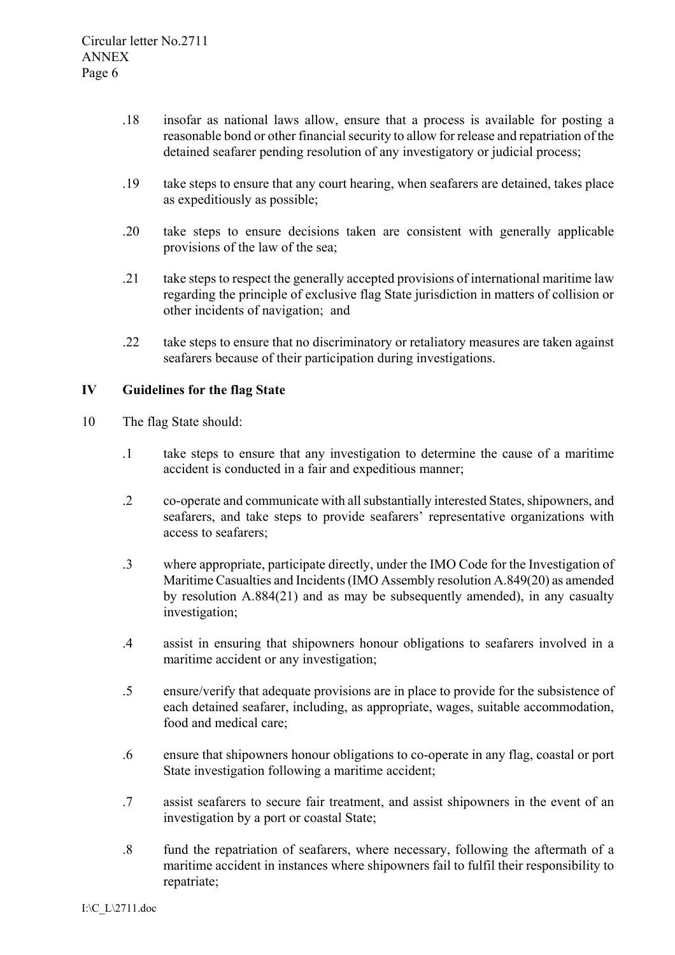- .18 insofar as national laws allow, ensure that a process is available for posting a reasonable bond or other financial security to allow for release and repatriation of the detained seafarer pending resolution of any investigatory or judicial process;
- .19 take steps to ensure that any court hearing, when seafarers are detained, takes place as expeditiously as possible;
- .20 take steps to ensure decisions taken are consistent with generally applicable provisions of the law of the sea;
- .21 take steps to respect the generally accepted provisions of international maritime law regarding the principle of exclusive flag State jurisdiction in matters of collision or other incidents of navigation; and
- .22 take steps to ensure that no discriminatory or retaliatory measures are taken against seafarers because of their participation during investigations.

### **IV Guidelines for the flag State**

- 10 The flag State should:
	- .1 take steps to ensure that any investigation to determine the cause of a maritime accident is conducted in a fair and expeditious manner;
	- .2 co-operate and communicate with all substantially interested States, shipowners, and seafarers, and take steps to provide seafarers' representative organizations with access to seafarers;
	- .3 where appropriate, participate directly, under the IMO Code for the Investigation of Maritime Casualties and Incidents (IMO Assembly resolution A.849(20) as amended by resolution A.884(21) and as may be subsequently amended), in any casualty investigation;
	- .4 assist in ensuring that shipowners honour obligations to seafarers involved in a maritime accident or any investigation;
	- .5 ensure/verify that adequate provisions are in place to provide for the subsistence of each detained seafarer, including, as appropriate, wages, suitable accommodation, food and medical care;
	- .6 ensure that shipowners honour obligations to co-operate in any flag, coastal or port State investigation following a maritime accident;
	- .7 assist seafarers to secure fair treatment, and assist shipowners in the event of an investigation by a port or coastal State;
	- .8 fund the repatriation of seafarers, where necessary, following the aftermath of a maritime accident in instances where shipowners fail to fulfil their responsibility to repatriate;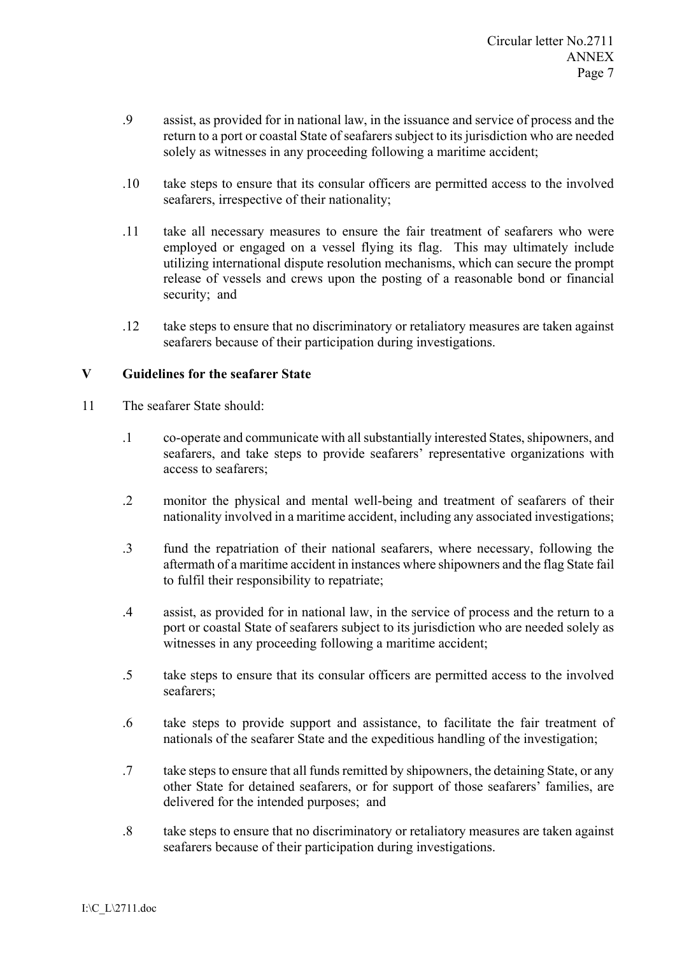- .9 assist, as provided for in national law, in the issuance and service of process and the return to a port or coastal State of seafarers subject to its jurisdiction who are needed solely as witnesses in any proceeding following a maritime accident;
- .10 take steps to ensure that its consular officers are permitted access to the involved seafarers, irrespective of their nationality;
- .11 take all necessary measures to ensure the fair treatment of seafarers who were employed or engaged on a vessel flying its flag. This may ultimately include utilizing international dispute resolution mechanisms, which can secure the prompt release of vessels and crews upon the posting of a reasonable bond or financial security; and
- .12 take steps to ensure that no discriminatory or retaliatory measures are taken against seafarers because of their participation during investigations.

### **V Guidelines for the seafarer State**

- 11 The seafarer State should:
	- .1 co-operate and communicate with all substantially interested States, shipowners, and seafarers, and take steps to provide seafarers' representative organizations with access to seafarers;
	- .2 monitor the physical and mental well-being and treatment of seafarers of their nationality involved in a maritime accident, including any associated investigations;
	- .3 fund the repatriation of their national seafarers, where necessary, following the aftermath of a maritime accident in instances where shipowners and the flag State fail to fulfil their responsibility to repatriate;
	- .4 assist, as provided for in national law, in the service of process and the return to a port or coastal State of seafarers subject to its jurisdiction who are needed solely as witnesses in any proceeding following a maritime accident;
	- .5 take steps to ensure that its consular officers are permitted access to the involved seafarers;
	- .6 take steps to provide support and assistance, to facilitate the fair treatment of nationals of the seafarer State and the expeditious handling of the investigation;
	- .7 take steps to ensure that all funds remitted by shipowners, the detaining State, or any other State for detained seafarers, or for support of those seafarers' families, are delivered for the intended purposes; and
	- .8 take steps to ensure that no discriminatory or retaliatory measures are taken against seafarers because of their participation during investigations.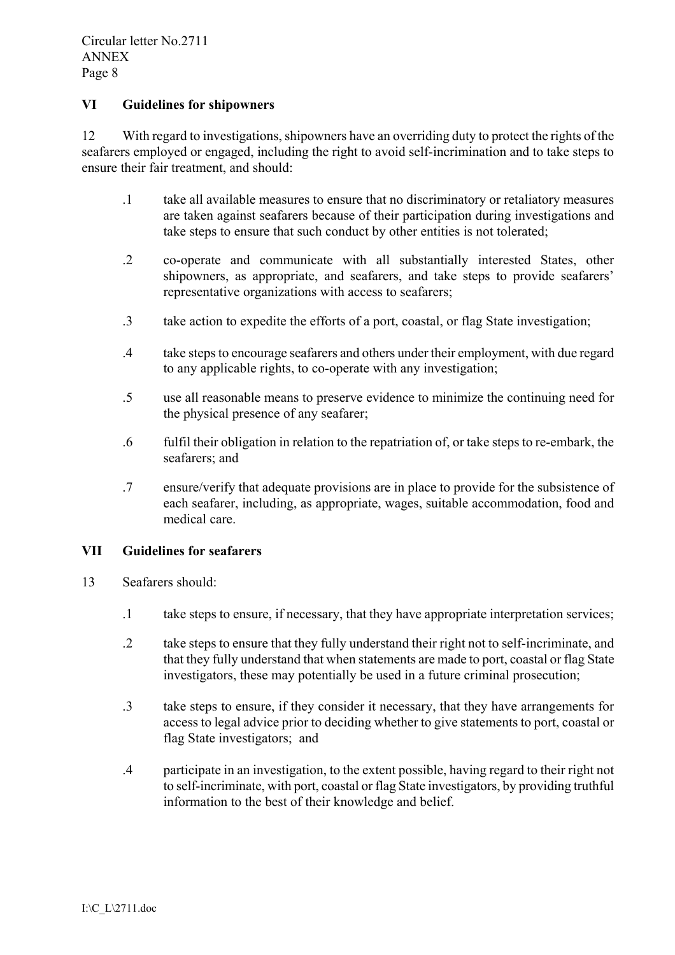### **VI Guidelines for shipowners**

12 With regard to investigations, shipowners have an overriding duty to protect the rights of the seafarers employed or engaged, including the right to avoid self-incrimination and to take steps to ensure their fair treatment, and should:

- .1 take all available measures to ensure that no discriminatory or retaliatory measures are taken against seafarers because of their participation during investigations and take steps to ensure that such conduct by other entities is not tolerated;
- .2 co-operate and communicate with all substantially interested States, other shipowners, as appropriate, and seafarers, and take steps to provide seafarers' representative organizations with access to seafarers;
- .3 take action to expedite the efforts of a port, coastal, or flag State investigation;
- .4 take steps to encourage seafarers and others under their employment, with due regard to any applicable rights, to co-operate with any investigation;
- .5 use all reasonable means to preserve evidence to minimize the continuing need for the physical presence of any seafarer;
- .6 fulfil their obligation in relation to the repatriation of, or take steps to re-embark, the seafarers; and
- .7 ensure/verify that adequate provisions are in place to provide for the subsistence of each seafarer, including, as appropriate, wages, suitable accommodation, food and medical care.

### **VII Guidelines for seafarers**

- 13 Seafarers should:
	- .1 take steps to ensure, if necessary, that they have appropriate interpretation services;
	- .2 take steps to ensure that they fully understand their right not to self-incriminate, and that they fully understand that when statements are made to port, coastal or flag State investigators, these may potentially be used in a future criminal prosecution;
	- .3 take steps to ensure, if they consider it necessary, that they have arrangements for access to legal advice prior to deciding whether to give statements to port, coastal or flag State investigators; and
	- .4 participate in an investigation, to the extent possible, having regard to their right not to self-incriminate, with port, coastal or flag State investigators, by providing truthful information to the best of their knowledge and belief.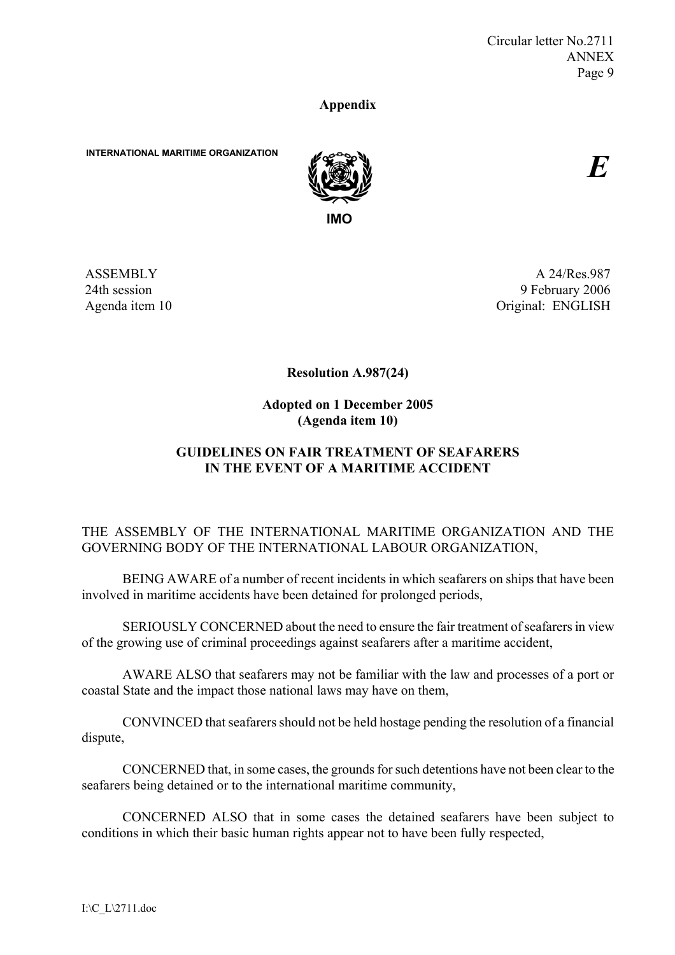### **Appendix**

**INTERNATIONAL MARITIME ORGANIZATION**



*E*

ASSEMBLY 24th session Agenda item 10

A 24/Res.987 9 February 2006 Original: ENGLISH

**Resolution A.987(24)** 

**Adopted on 1 December 2005 (Agenda item 10)** 

# **GUIDELINES ON FAIR TREATMENT OF SEAFARERS IN THE EVENT OF A MARITIME ACCIDENT**

# THE ASSEMBLY OF THE INTERNATIONAL MARITIME ORGANIZATION AND THE GOVERNING BODY OF THE INTERNATIONAL LABOUR ORGANIZATION,

 BEING AWARE of a number of recent incidents in which seafarers on ships that have been involved in maritime accidents have been detained for prolonged periods,

 SERIOUSLY CONCERNED about the need to ensure the fair treatment of seafarers in view of the growing use of criminal proceedings against seafarers after a maritime accident,

 AWARE ALSO that seafarers may not be familiar with the law and processes of a port or coastal State and the impact those national laws may have on them,

 CONVINCED that seafarers should not be held hostage pending the resolution of a financial dispute,

 CONCERNED that, in some cases, the grounds for such detentions have not been clear to the seafarers being detained or to the international maritime community,

 CONCERNED ALSO that in some cases the detained seafarers have been subject to conditions in which their basic human rights appear not to have been fully respected,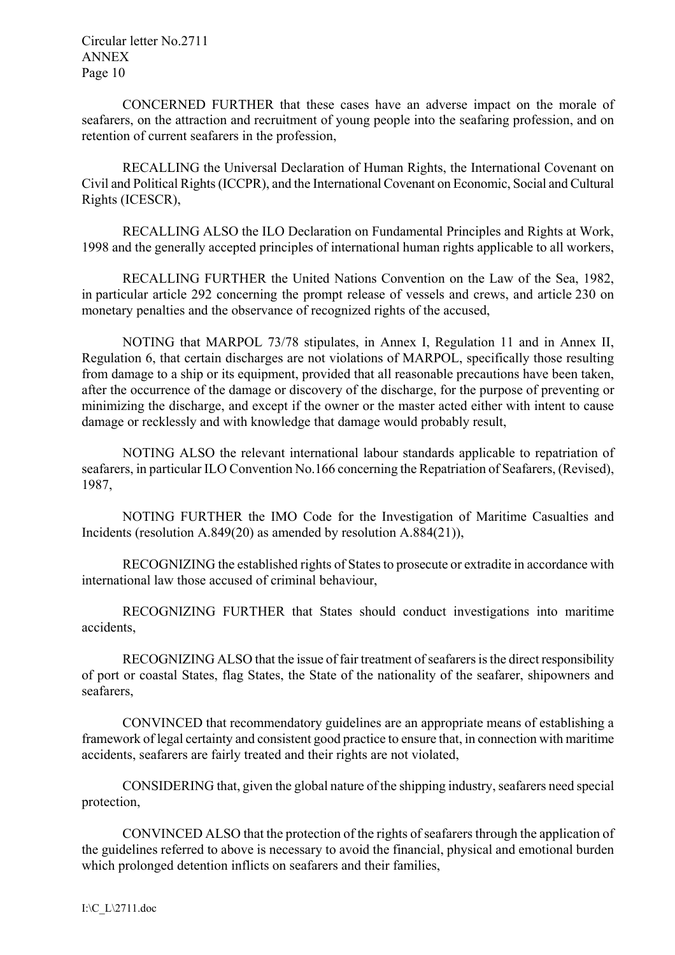Circular letter No.2711 ANNEX Page 10

 CONCERNED FURTHER that these cases have an adverse impact on the morale of seafarers, on the attraction and recruitment of young people into the seafaring profession, and on retention of current seafarers in the profession,

RECALLING the Universal Declaration of Human Rights, the International Covenant on Civil and Political Rights (ICCPR), and the International Covenant on Economic, Social and Cultural Rights (ICESCR),

 RECALLING ALSO the ILO Declaration on Fundamental Principles and Rights at Work, 1998 and the generally accepted principles of international human rights applicable to all workers,

 RECALLING FURTHER the United Nations Convention on the Law of the Sea, 1982, in particular article 292 concerning the prompt release of vessels and crews, and article 230 on monetary penalties and the observance of recognized rights of the accused,

NOTING that MARPOL 73/78 stipulates, in Annex I, Regulation 11 and in Annex II, Regulation 6, that certain discharges are not violations of MARPOL, specifically those resulting from damage to a ship or its equipment, provided that all reasonable precautions have been taken, after the occurrence of the damage or discovery of the discharge, for the purpose of preventing or minimizing the discharge, and except if the owner or the master acted either with intent to cause damage or recklessly and with knowledge that damage would probably result,

NOTING ALSO the relevant international labour standards applicable to repatriation of seafarers, in particular ILO Convention No.166 concerning the Repatriation of Seafarers, (Revised), 1987,

 NOTING FURTHER the IMO Code for the Investigation of Maritime Casualties and Incidents (resolution A.849(20) as amended by resolution A.884(21)),

 RECOGNIZING the established rights of States to prosecute or extradite in accordance with international law those accused of criminal behaviour,

 RECOGNIZING FURTHER that States should conduct investigations into maritime accidents,

 RECOGNIZING ALSO that the issue of fair treatment of seafarers is the direct responsibility of port or coastal States, flag States, the State of the nationality of the seafarer, shipowners and seafarers,

 CONVINCED that recommendatory guidelines are an appropriate means of establishing a framework of legal certainty and consistent good practice to ensure that, in connection with maritime accidents, seafarers are fairly treated and their rights are not violated,

 CONSIDERING that, given the global nature of the shipping industry, seafarers need special protection,

 CONVINCED ALSO that the protection of the rights of seafarers through the application of the guidelines referred to above is necessary to avoid the financial, physical and emotional burden which prolonged detention inflicts on seafarers and their families,